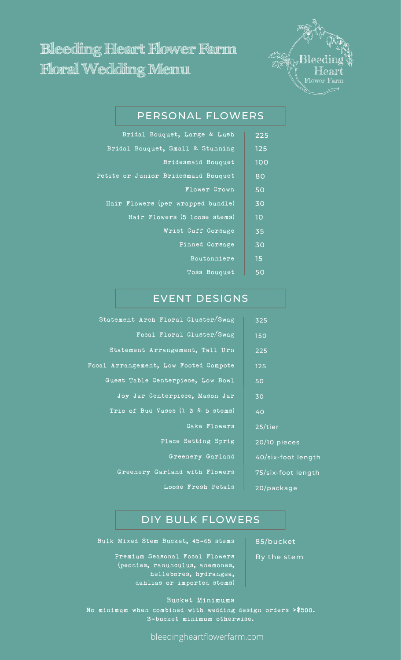# **Bleeding Heart Flower Farm Floral Wedding Menu**



# PERSONAL FLOWERS

| Bridal Bouquet, Large & Lush        | 225 |
|-------------------------------------|-----|
| Bridal Bouquet, Small & Stunning    | 125 |
| Bridesmaid Bouquet                  | 100 |
| Petite or Junior Bridesmaid Bouquet | 80  |
| <b>Flower Crown</b>                 | 50  |
| Hair Flowers (per wrapped bundle)   | 30  |
| Hair Flowers (5 loose stems)        | 10  |
| Wrist Cuff Corsage                  | 35  |
| Pinned Corsage                      | 30  |
| Boutonniere                         | 15  |
| Toss Bouquet                        | 50  |

## EVENT DESIGNS

| Statement Arch Floral Cluster/Swag    | 325  |
|---------------------------------------|------|
| Focal Floral Cluster/Swag             | 150  |
| Statement Arrangement, Tall Urn       | 225  |
| Focal Arrangement, Low Footed Compote | 125  |
| Guest Table Centerpiece, Low Bowl     | 50   |
| Joy Jar Centerpiece, Mason Jar        | 30   |
| Trio of Bud Vases (1 3 & 5 stems)     | 40   |
| Cake Flowers                          | 25/t |
| Place Setting Sprig                   | 20/1 |
| Greenery Garland                      | 40/  |
| Greenery Garland with Flowers         | 75/s |
| Loose Fresh Petals                    | 20/  |

# /tier

/10 pieces

 $\sqrt{\text{s}$ ix-foot length

/six-foot length

/package

## DIY BULK FLOWERS

Bulk Mixed Stem Bucket, 45-65 stems | 85/bucket

Premium Seasonal Focal Flowers (peonies, ranunculus, anemones, hellebores, hydrangea, dahlias or imported stems)

Bucket Minimums No minimum when combined with wedding design orders **>**\$500. 3-bucket minimum otherwise.

bleedingheartflowerfarm.com

By the stem